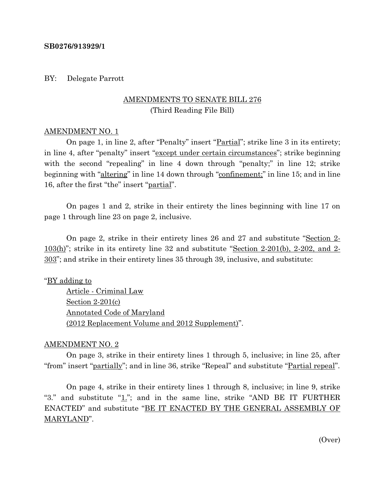#### **SB0276/913929/1**

#### BY: Delegate Parrott

# AMENDMENTS TO SENATE BILL 276 (Third Reading File Bill)

#### AMENDMENT NO. 1

On page 1, in line 2, after "Penalty" insert "<u>Partial</u>"; strike line 3 in its entirety; in line 4, after "penalty" insert "except under certain circumstances"; strike beginning with the second "repealing" in line 4 down through "penalty;" in line 12; strike beginning with "altering" in line 14 down through "confinement;" in line 15; and in line 16, after the first "the" insert "partial".

On pages 1 and 2, strike in their entirety the lines beginning with line 17 on page 1 through line 23 on page 2, inclusive.

On page 2, strike in their entirety lines 26 and 27 and substitute "Section 2- 103(h)"; strike in its entirety line 32 and substitute "Section 2-201(b), 2-202, and 2- 303"; and strike in their entirety lines 35 through 39, inclusive, and substitute:

"BY adding to

Article - Criminal Law Section 2-201(c) Annotated Code of Maryland (2012 Replacement Volume and 2012 Supplement)".

#### AMENDMENT NO. 2

On page 3, strike in their entirety lines 1 through 5, inclusive; in line 25, after "from" insert "partially"; and in line 36, strike "Repeal" and substitute "Partial repeal".

On page 4, strike in their entirety lines 1 through 8, inclusive; in line 9, strike "3." and substitute " $1$ ."; and in the same line, strike "AND BE IT FURTHER ENACTED" and substitute "BE IT ENACTED BY THE GENERAL ASSEMBLY OF MARYLAND".

(Over)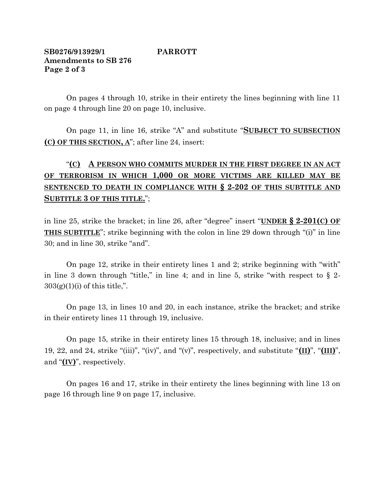### **SB0276/913929/1 PARROTT Amendments to SB 276 Page 2 of 3**

On pages 4 through 10, strike in their entirety the lines beginning with line 11 on page 4 through line 20 on page 10, inclusive.

On page 11, in line 16, strike "A" and substitute "**SUBJECT TO SUBSECTION (C) OF THIS SECTION, A**"; after line 24, insert:

# "**(C) A PERSON WHO COMMITS MURDER IN THE FIRST DEGREE IN AN ACT OF TERRORISM IN WHICH 1,000 OR MORE VICTIMS ARE KILLED MAY BE SENTENCED TO DEATH IN COMPLIANCE WITH § 2-202 OF THIS SUBTITLE AND SUBTITLE 3 OF THIS TITLE.**";

in line 25, strike the bracket; in line 26, after "degree" insert "**UNDER § 2-201(C) OF THIS SUBTITLE**"; strike beginning with the colon in line 29 down through "(i)" in line 30; and in line 30, strike "and".

On page 12, strike in their entirety lines 1 and 2; strike beginning with "with" in line 3 down through "title," in line 4; and in line 5, strike "with respect to  $\S$  2- $303(g)(1)(i)$  of this title,".

On page 13, in lines 10 and 20, in each instance, strike the bracket; and strike in their entirety lines 11 through 19, inclusive.

On page 15, strike in their entirety lines 15 through 18, inclusive; and in lines 19, 22, and 24, strike "(iii)", "(iv)", and "(v)", respectively, and substitute "**(II)**", "**(III)**", and "**(IV)**", respectively.

On pages 16 and 17, strike in their entirety the lines beginning with line 13 on page 16 through line 9 on page 17, inclusive.